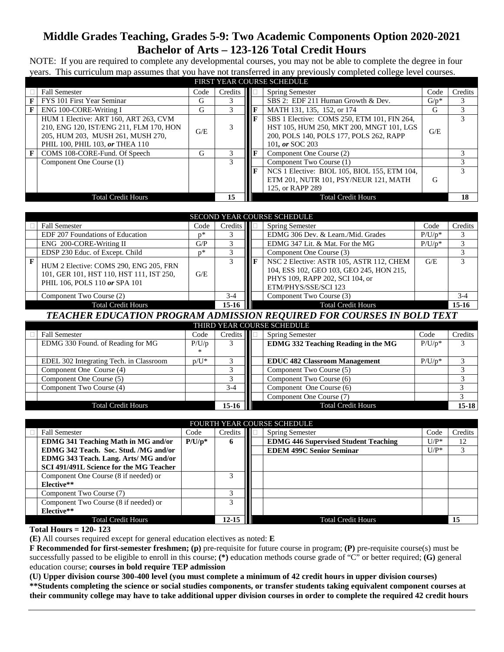# **Middle Grades Teaching, Grades 5-9: Two Academic Components Option 2020-2021 Bachelor of Arts – 123-126 Total Credit Hours**

NOTE: If you are required to complete any developmental courses, you may not be able to complete the degree in four years. This curriculum map assumes that you have not transferred in any previously completed college level courses.

|              | FIRST YEAR COURSE SCHEDULE                                                                                                                               |     |         |              |                                                                                                                                                       |         |         |  |  |
|--------------|----------------------------------------------------------------------------------------------------------------------------------------------------------|-----|---------|--------------|-------------------------------------------------------------------------------------------------------------------------------------------------------|---------|---------|--|--|
|              | <b>Fall Semester</b><br>Code                                                                                                                             |     | Credits |              | <b>Spring Semester</b>                                                                                                                                | Code    | Credits |  |  |
| F            | FYS 101 First Year Seminar                                                                                                                               | G   | 3       |              | SBS 2: EDF 211 Human Growth & Dev.                                                                                                                    | $G/p^*$ | 3       |  |  |
| F            | ENG 100-CORE-Writing I                                                                                                                                   | G   |         |              | MATH 131, 135, 152, or 174                                                                                                                            | G       | 3       |  |  |
|              | HUM 1 Elective: ART 160, ART 263, CVM<br>210, ENG 120, IST/ENG 211, FLM 170, HON<br>205. HUM 203. MUSH 261. MUSH 270.<br>PHIL 100, PHIL 103, or THEA 110 | G/E |         | $\mathbf{F}$ | SBS 1 Elective: COMS 250, ETM 101, FIN 264,<br>HST 105, HUM 250, MKT 200, MNGT 101, LGS<br>200, POLS 140, POLS 177, POLS 262, RAPP<br>101, or SOC 203 | G/E     |         |  |  |
| $\mathbf{F}$ | COMS 108-CORE-Fund. Of Speech                                                                                                                            | G   | 3       |              | Component One Course (2)                                                                                                                              |         |         |  |  |
|              | Component One Course (1)                                                                                                                                 |     | 3       |              | Component Two Course (1)                                                                                                                              |         |         |  |  |
|              |                                                                                                                                                          |     |         | $\mathbf{F}$ | NCS 1 Elective: BIOL 105, BIOL 155, ETM 104,<br>ETM 201, NUTR 101, PSY/NEUR 121, MATH<br>125, or RAPP 289                                             | G       |         |  |  |
|              | <b>Total Credit Hours</b>                                                                                                                                |     | 15      |              | <b>Total Credit Hours</b>                                                                                                                             |         | 18      |  |  |

|                           | SECOND YEAR COURSE SCHEDULE                                                                                         |      |                     |   |                                                                                                                                                 |           |         |  |  |  |
|---------------------------|---------------------------------------------------------------------------------------------------------------------|------|---------------------|---|-------------------------------------------------------------------------------------------------------------------------------------------------|-----------|---------|--|--|--|
|                           | <b>Fall Semester</b>                                                                                                | Code | C <sub>redits</sub> |   | <b>Spring Semester</b>                                                                                                                          | Code      | Credits |  |  |  |
|                           | EDF 207 Foundations of Education                                                                                    | n*   |                     |   | EDMG 306 Dev. & Learn./Mid. Grades                                                                                                              | $P/U/p^*$ |         |  |  |  |
|                           | ENG 200-CORE-Writing II                                                                                             | G/P  |                     |   | EDMG 347 Lit. & Mat. For the MG                                                                                                                 | $P/U/p^*$ |         |  |  |  |
|                           | EDSP 230 Educ. of Except. Child                                                                                     | n*   |                     |   | Component One Course (3)                                                                                                                        |           |         |  |  |  |
|                           | HUM 2 Elective: COMS 290, ENG 205, FRN<br>101, GER 101, HST 110, HST 111, IST 250,<br>PHIL 106, POLS 110 or SPA 101 | G/E  |                     | п | NSC 2 Elective: ASTR 105, ASTR 112, CHEM<br>104, ESS 102, GEO 103, GEO 245, HON 215,<br>PHYS 109, RAPP 202, SCI 104, or<br>ETM/PHYS/SSE/SCI 123 | G/E       |         |  |  |  |
|                           | Component Two Course (2)                                                                                            |      | $3-4$               |   | Component Two Course (3)                                                                                                                        |           | $3-4$   |  |  |  |
| <b>Total Credit Hours</b> |                                                                                                                     |      |                     |   | <b>Total Credit Hours</b>                                                                                                                       |           | $15-16$ |  |  |  |
|                           | TE LAHED EDIIA TIAN DDAAD LIL LDIJIGGIAN DEAHDED EAD AAHDGEG IN DAI D TEVT                                          |      |                     |   |                                                                                                                                                 |           |         |  |  |  |

*TEACHER EDUCATION PROGRAM ADMISSION REQUIRED FOR COURSES IN BOLD TEXT*

| THIRD YEAR COURSE SCHEDULE           |                                            |         |         |  |                                            |           |           |  |  |
|--------------------------------------|--------------------------------------------|---------|---------|--|--------------------------------------------|-----------|-----------|--|--|
|                                      | <b>Fall Semester</b><br>Code               |         | Credits |  | <b>Spring Semester</b>                     | Code      | Credits   |  |  |
|                                      | EDMG 330 Found. of Reading for MG<br>P/U/p |         | 3       |  | <b>EDMG 332 Teaching Reading in the MG</b> | $P/U/p^*$ |           |  |  |
|                                      |                                            | ∗       |         |  |                                            |           |           |  |  |
|                                      | EDEL 302 Integrating Tech. in Classroom    | $p/U^*$ |         |  | <b>EDUC 482 Classroom Management</b>       | $P/U/p^*$ |           |  |  |
|                                      | Component One Course (4)                   |         |         |  | Component Two Course (5)                   |           |           |  |  |
|                                      | Component One Course (5)                   |         |         |  | Component Two Course (6)                   |           |           |  |  |
|                                      | Component Two Course (4)                   |         | $3-4$   |  | Component One Course (6)                   |           |           |  |  |
|                                      |                                            |         |         |  | Component One Course (7)                   |           |           |  |  |
| $15-16$<br><b>Total Credit Hours</b> |                                            |         |         |  | <b>Total Credit Hours</b>                  |           | $15 - 18$ |  |  |

| <b>FOURTH YEAR COURSE SCHEDULE</b>         |           |           |  |                                             |         |         |  |  |  |
|--------------------------------------------|-----------|-----------|--|---------------------------------------------|---------|---------|--|--|--|
| <b>Fall Semester</b>                       | Code      | Credits   |  | <b>Spring Semester</b>                      | Code    | Credits |  |  |  |
| <b>EDMG 341 Teaching Math in MG and/or</b> | $P/U/p^*$ | 6         |  | <b>EDMG 446 Supervised Student Teaching</b> | $U/P^*$ | 12      |  |  |  |
| EDMG 342 Teach. Soc. Stud. /MG and/or      |           |           |  | <b>EDEM 499C Senior Seminar</b>             | $U/P^*$ | 3       |  |  |  |
| EDMG 343 Teach. Lang. Arts/ MG and/or      |           |           |  |                                             |         |         |  |  |  |
| SCI 491/491L Science for the MG Teacher    |           |           |  |                                             |         |         |  |  |  |
| Component One Course (8 if needed) or      |           |           |  |                                             |         |         |  |  |  |
| Elective**                                 |           |           |  |                                             |         |         |  |  |  |
| Component Two Course (7)                   |           |           |  |                                             |         |         |  |  |  |
| Component Two Course (8 if needed) or      |           | 3         |  |                                             |         |         |  |  |  |
| Elective**                                 |           |           |  |                                             |         |         |  |  |  |
| <b>Total Credit Hours</b>                  |           | $12 - 15$ |  | <b>Total Credit Hours</b>                   |         |         |  |  |  |
| . <del>. .</del><br>$\cdots$               |           |           |  |                                             |         |         |  |  |  |

**Total Hours = 120- 123**

**(E)** All courses required except for general education electives as noted: **E**

**F Recommended for first-semester freshmen; (p)** pre-requisite for future course in program; **(P)** pre-requisite course(s) must be successfully passed to be eligible to enroll in this course; **(\*)** education methods course grade of "C" or better required; **(G)** general education course; **courses in bold require TEP admission**

**(U) Upper division course 300-400 level (you must complete a minimum of 42 credit hours in upper division courses) \*\*Students completing the science or social studies components, or transfer students taking equivalent component courses at their community college may have to take additional upper division courses in order to complete the required 42 credit hours**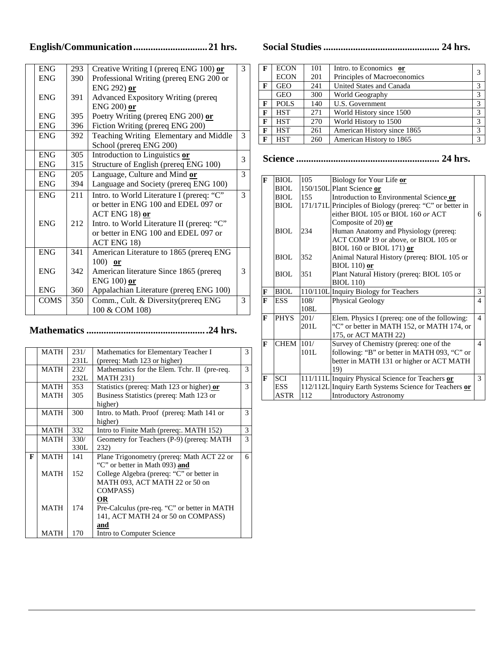## **English/Communication..............................21 hrs.**

| <b>ENG</b>  | 293 | Creative Writing I (prereq ENG 100) or     | 3 |
|-------------|-----|--------------------------------------------|---|
| <b>ENG</b>  | 390 | Professional Writing (prereq ENG 200 or    |   |
|             |     | ENG 292) or                                |   |
| <b>ENG</b>  | 391 | <b>Advanced Expository Writing (prereq</b> |   |
|             |     | ENG $200$ ) or                             |   |
| <b>ENG</b>  | 395 | Poetry Writing (prereq ENG 200) or         |   |
| <b>ENG</b>  | 396 | Fiction Writing (prereq ENG 200)           |   |
| <b>ENG</b>  | 392 | Teaching Writing Elementary and Middle     | 3 |
|             |     | School (prereq ENG 200)                    |   |
| <b>ENG</b>  | 305 | Introduction to Linguistics or             | 3 |
| <b>ENG</b>  | 315 | Structure of English (prereq ENG 100)      |   |
| <b>ENG</b>  | 205 | Language, Culture and Mind or              | 3 |
| <b>ENG</b>  | 394 | Language and Society (prereq ENG 100)      |   |
| <b>ENG</b>  | 211 | Intro. to World Literature I (prereq: "C"  | 3 |
|             |     | or better in ENG 100 and EDEL 097 or       |   |
|             |     | $ACT$ ENG 18) or                           |   |
| <b>ENG</b>  | 212 | Intro. to World Literature II (prereq: "C" |   |
|             |     | or better in ENG 100 and EDEL 097 or       |   |
|             |     | ACT ENG 18)                                |   |
| <b>ENG</b>  | 341 | American Literature to 1865 (prereq ENG    |   |
|             |     | $100$ or                                   |   |
| <b>ENG</b>  | 342 | American literature Since 1865 (prereq     | 3 |
|             |     | ENG 100) or                                |   |
| <b>ENG</b>  | 360 | Appalachian Literature (prereq ENG 100)    |   |
| <b>COMS</b> | 350 | Comm., Cult. & Diversity(prereq ENG        | 3 |
|             |     | 100 & COM 108)                             |   |

# **Mathematics .................................................24 hrs.**

|   | <b>MATH</b> | 231/ | Mathematics for Elementary Teacher I         | 3 |
|---|-------------|------|----------------------------------------------|---|
|   |             | 231L | (prereq: Math 123 or higher)                 |   |
|   | <b>MATH</b> | 232/ | Mathematics for the Elem. Tchr. II (pre-req. | 3 |
|   |             | 232L | <b>MATH 231)</b>                             |   |
|   | MATH        | 353  | Statistics (prereq: Math 123 or higher) or   | 3 |
|   | <b>MATH</b> | 305  | Business Statistics (prereq: Math 123 or     |   |
|   |             |      | higher)                                      |   |
|   | <b>MATH</b> | 300  | Intro. to Math. Proof (prereq: Math 141 or   | 3 |
|   |             |      | higher)                                      |   |
|   | <b>MATH</b> | 332  | Intro to Finite Math (prereq: MATH 152)      | 3 |
|   | <b>MATH</b> | 330/ | Geometry for Teachers (P-9) (prereq: MATH    | 3 |
|   |             | 330L | 232)                                         |   |
| F | <b>MATH</b> | 141  | Plane Trigonometry (prereq: Math ACT 22 or   | 6 |
|   |             |      | "C" or better in Math 093) and               |   |
|   | <b>MATH</b> | 152  | College Algebra (prereq: "C" or better in    |   |
|   |             |      | MATH 093, ACT MATH 22 or 50 on               |   |
|   |             |      | <b>COMPASS</b> )                             |   |
|   |             |      | OR                                           |   |
|   | <b>MATH</b> | 174  | Pre-Calculus (pre-req. "C" or better in MATH |   |
|   |             |      | 141, ACT MATH 24 or 50 on COMPASS)           |   |
|   |             |      | and                                          |   |
|   | <b>MATH</b> | 170  | Intro to Computer Science                    |   |

**Social Studies............................................... 24 hrs.**

| F | <b>ECON</b> | 101 | Intro. to Economics or       | 3           |
|---|-------------|-----|------------------------------|-------------|
|   | <b>ECON</b> | 201 | Principles of Macroeconomics |             |
| F | <b>GEO</b>  | 241 | United States and Canada     | 3           |
|   | <b>GEO</b>  | 300 | World Geography              | 3           |
| F | <b>POLS</b> | 140 | U.S. Government              | 3           |
| F | <b>HST</b>  | 271 | World History since 1500     | 3           |
| F | <b>HST</b>  | 270 | World History to 1500        | 3           |
| F | <b>HST</b>  | 261 | American History since 1865  | 3           |
| F | <b>HST</b>  | 260 | American History to 1865     | $\mathbf 3$ |

**Science .......................................................... 24 hrs.**

| $\mathbf{F}$ | <b>BIOL</b> | 105  | Biology for Your Life or                                 |                |
|--------------|-------------|------|----------------------------------------------------------|----------------|
|              | <b>BIOL</b> |      | 150/150L Plant Science or                                |                |
|              | BIOL        | 155  | Introduction to Environmental Science or                 |                |
|              | <b>BIOL</b> |      | 171/171L Principles of Biology (prereq: "C" or better in |                |
|              |             |      | either BIOL 105 or BIOL 160 or ACT                       | 6              |
|              |             |      | Composite of 20) or                                      |                |
|              | BIOL        | 234  | Human Anatomy and Physiology (prereq:                    |                |
|              |             |      | ACT COMP 19 or above, or BIOL 105 or                     |                |
|              |             |      | BIOL 160 or BIOL 171) or                                 |                |
|              | <b>BIOL</b> | 352  | Animal Natural History (prereq: BIOL 105 or              |                |
|              |             |      | $BIOL 110$ ) or                                          |                |
|              | <b>BIOL</b> | 351  | Plant Natural History (prereq: BIOL 105 or               |                |
|              |             |      | <b>BIOL 110)</b>                                         |                |
| $\mathbf F$  | <b>BIOL</b> |      | 110/110L Inquiry Biology for Teachers                    | 3              |
| F            | <b>ESS</b>  | 108/ | Physical Geology                                         | $\overline{4}$ |
|              |             | 108L |                                                          |                |
| $\mathbf{F}$ | <b>PHYS</b> | 201/ | Elem. Physics I (prereq: one of the following:           | $\overline{4}$ |
|              |             | 201L | "C" or better in MATH 152, or MATH 174, or               |                |
|              |             |      |                                                          |                |
|              |             |      | 175, or ACT MATH 22)                                     |                |
| $\mathbf{F}$ | <b>CHEM</b> | 101/ | Survey of Chemistry (prereq: one of the                  | 4              |
|              |             | 101L | following: "B" or better in MATH 093, "C" or             |                |
|              |             |      | better in MATH 131 or higher or ACT MATH                 |                |
|              |             |      | 19)                                                      |                |
| $\mathbf{F}$ | <b>SCI</b>  |      | 111/111L Inquiry Physical Science for Teachers or        | $\mathcal{F}$  |
|              | <b>ESS</b>  |      | 112/112L Inquiry Earth Systems Science for Teachers or   |                |